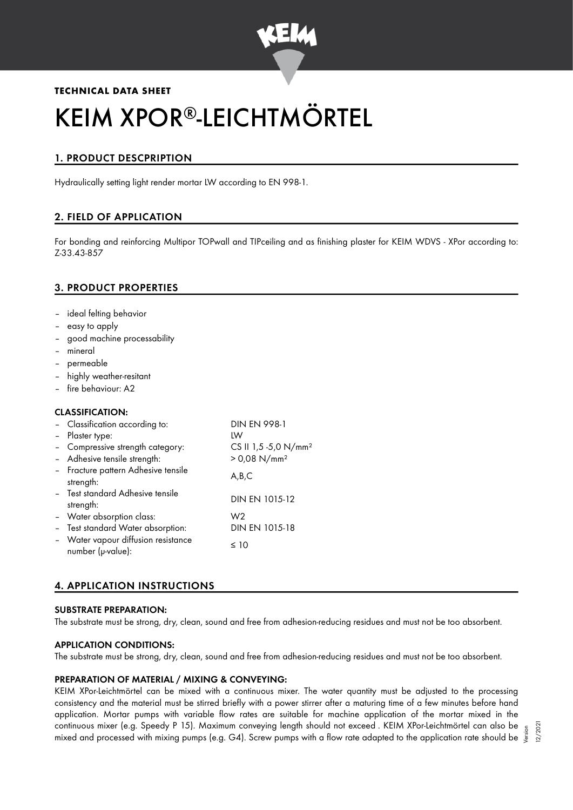

# **TECHNICAL DATA SHEET**

# KEIM XPOR®-LEICHTMÖRTEL

# 1. PRODUCT DESCPRIPTION

Hydraulically setting light render mortar LW according to EN 998-1.

# 2. FIELD OF APPLICATION

For bonding and reinforcing Multipor TOPwall and TIPceiling and as finishing plaster for KEIM WDVS - XPor according to: Z-33.43-857

# 3. PRODUCT PROPERTIES

- ideal felting behavior
- easy to apply
- good machine processability
- mineral
- permeable
- highly weather-resitant
- fire behaviour: A2

## CLASSIFICATION:

| - Classification according to:                           | <b>DIN EN 998-1</b>              |
|----------------------------------------------------------|----------------------------------|
| - Plaster type:                                          | IW                               |
| - Compressive strength category:                         | CS II 1,5 -5,0 N/mm <sup>2</sup> |
| - Adhesive tensile strength:                             | $> 0.08$ N/mm <sup>2</sup>       |
| - Fracture pattern Adhesive tensile<br>strength:         | A,B,C                            |
| - Test standard Adhesive tensile<br>strength:            | DIN EN 1015-12                   |
| - Water absorption class:                                | W2                               |
| - Test standard Water absorption:                        | DIN EN 1015-18                   |
| - Water vapour diffusion resistance<br>number (µ-value): | $\leq 10$                        |

# 4. APPLICATION INSTRUCTIONS

## SUBSTRATE PREPARATION:

The substrate must be strong, dry, clean, sound and free from adhesion-reducing residues and must not be too absorbent.

## APPLICATION CONDITIONS:

The substrate must be strong, dry, clean, sound and free from adhesion-reducing residues and must not be too absorbent.

## PREPARATION OF MATERIAL / MIXING & CONVEYING:

KEIM XPor-Leichtmörtel can be mixed with a continuous mixer. The water quantity must be adjusted to the processing consistency and the material must be stirred briefly with a power stirrer after a maturing time of a few minutes before hand application. Mortar pumps with variable flow rates are suitable for machine application of the mortar mixed in the continuous mixer (e.g. Speedy P 15). Maximum conveying length should not exceed . KEIM XPor-Leichtmörtel can also be continuous mixer (e.g. Speedy P-15). Maximum conveying length should not exceed . KEIM XPor-Leichtmortel can also be  $\frac{5}{5}$ <br>"mixed and processed with mixing pumps (e.g. G4). Screw pumps with a flow rate adapted to the a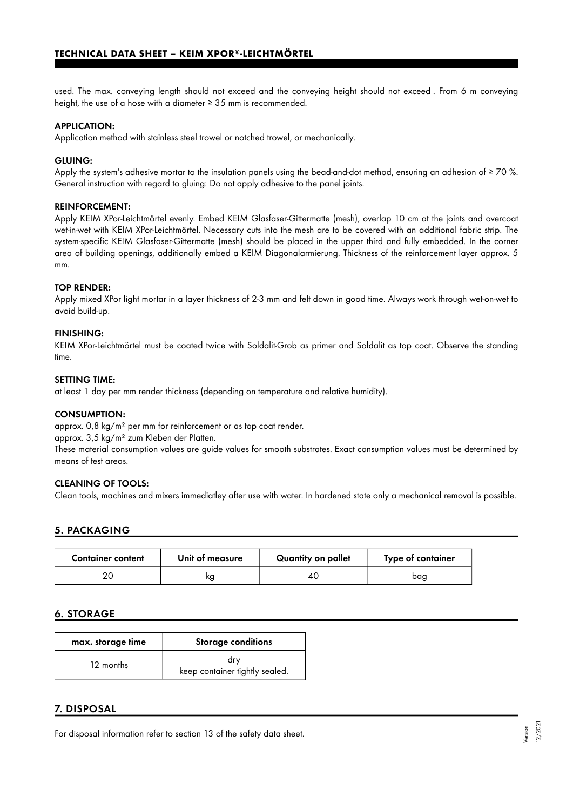used. The max. conveying length should not exceed and the conveying height should not exceed . From 6 m conveying height, the use of a hose with a diameter  $\geq$  35 mm is recommended.

#### APPLICATION:

Application method with stainless steel trowel or notched trowel, or mechanically.

#### GLUING:

Apply the system's adhesive mortar to the insulation panels using the bead-and-dot method, ensuring an adhesion of  $\geq$  70 %. General instruction with regard to gluing: Do not apply adhesive to the panel joints.

#### REINFORCEMENT:

Apply KEIM XPor-Leichtmörtel evenly. Embed KEIM Glasfaser-Gittermatte (mesh), overlap 10 cm at the joints and overcoat wet-in-wet with KEIM XPor-Leichtmörtel. Necessary cuts into the mesh are to be covered with an additional fabric strip. The system-specific KEIM Glasfaser-Gittermatte (mesh) should be placed in the upper third and fully embedded. In the corner area of building openings, additionally embed a KEIM Diagonalarmierung. Thickness of the reinforcement layer approx. 5 mm.

#### TOP RENDER:

Apply mixed XPor light mortar in a layer thickness of 2-3 mm and felt down in good time. Always work through wet-on-wet to avoid build-up.

#### FINISHING:

KEIM XPor-Leichtmörtel must be coated twice with Soldalit-Grob as primer and Soldalit as top coat. Observe the standing time.

#### SETTING TIME:

at least 1 day per mm render thickness (depending on temperature and relative humidity).

#### CONSUMPTION:

approx. 0,8 kg/m² per mm for reinforcement or as top coat render.

approx. 3,5 kg/m² zum Kleben der Platten.

These material consumption values are guide values for smooth substrates. Exact consumption values must be determined by means of test areas.

#### CLEANING OF TOOLS:

Clean tools, machines and mixers immediatley after use with water. In hardened state only a mechanical removal is possible.

#### 5. PACKAGING

| <b>Container content</b> | Unit of measure | Quantity on pallet | Type of container |
|--------------------------|-----------------|--------------------|-------------------|
|                          |                 |                    | baa               |

#### 6. STORAGE

| max. storage time | <b>Storage conditions</b>             |
|-------------------|---------------------------------------|
| 12 months         | drv<br>keep container tightly sealed. |

#### 7. DISPOSAL

For disposal information refer to section 13 of the safety data sheet.